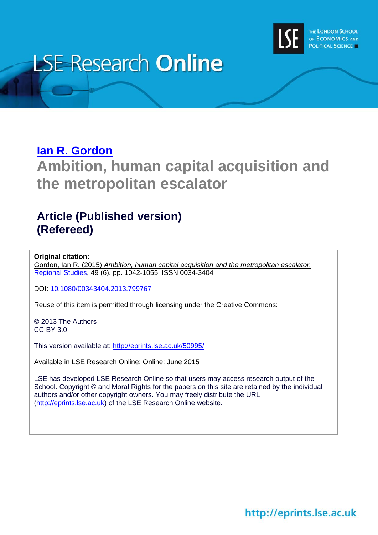

# **LSE Research Online**

### **[Ian R. Gordon](http://www.lse.ac.uk/researchAndExpertise/Experts/profile.aspx?KeyValue=i.r.gordon@lse.ac.uk)**

**Ambition, human capital acquisition and the metropolitan escalator**

### **Article (Published version) (Refereed)**

#### **Original citation:**

Gordon, Ian R. (2015) *Ambition, human capital acquisition and the metropolitan escalator.* [Regional Studies,](http://www.tandfonline.com/loi/cres20) 49 (6). pp. 1042-1055. ISSN 0034-3404

DOI: [10.1080/00343404.2013.799767](http://dx.doi.org/10.1080/00343404.2013.799767)

Reuse of this item is permitted through licensing under the Creative Commons:

© 2013 The Authors CC BY 3.0

This version available at:<http://eprints.lse.ac.uk/50995/>

Available in LSE Research Online: Online: June 2015

LSE has developed LSE Research Online so that users may access research output of the School. Copyright © and Moral Rights for the papers on this site are retained by the individual authors and/or other copyright owners. You may freely distribute the URL (http://eprints.lse.ac.uk) of the LSE Research Online website.

http://eprints.lse.ac.uk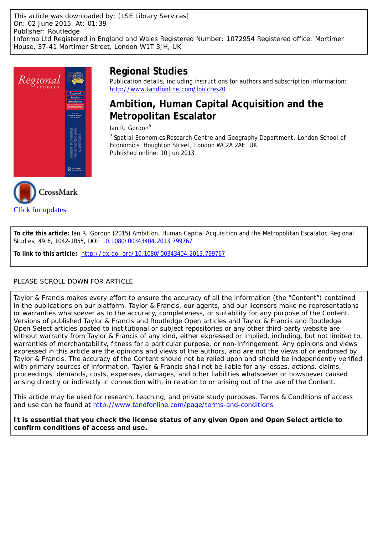This article was downloaded by: [LSE Library Services] On: 02 June 2015, At: 01:39 Publisher: Routledge Informa Ltd Registered in England and Wales Registered Number: 1072954 Registered office: Mortimer House, 37-41 Mortimer Street, London W1T 3JH, UK





Publication details, including instructions for authors and subscription information: <http://www.tandfonline.com/loi/cres20>

### **Ambition, Human Capital Acquisition and the Metropolitan Escalator**

Ian R. Gordon $a$ 

<sup>a</sup> Spatial Economics Research Centre and Geography Department, London School of Economics, Houghton Street, London WC2A 2AE, UK. Published online: 10 Jun 2013.



**To cite this article:** Ian R. Gordon (2015) Ambition, Human Capital Acquisition and the Metropolitan Escalator, Regional Studies, 49:6, 1042-1055, DOI: [10.1080/00343404.2013.799767](http://www.tandfonline.com/action/showCitFormats?doi=10.1080/00343404.2013.799767)

**To link to this article:** <http://dx.doi.org/10.1080/00343404.2013.799767>

#### PLEASE SCROLL DOWN FOR ARTICLE

Taylor & Francis makes every effort to ensure the accuracy of all the information (the "Content") contained in the publications on our platform. Taylor & Francis, our agents, and our licensors make no representations or warranties whatsoever as to the accuracy, completeness, or suitability for any purpose of the Content. Versions of published Taylor & Francis and Routledge Open articles and Taylor & Francis and Routledge Open Select articles posted to institutional or subject repositories or any other third-party website are without warranty from Taylor & Francis of any kind, either expressed or implied, including, but not limited to, warranties of merchantability, fitness for a particular purpose, or non-infringement. Any opinions and views expressed in this article are the opinions and views of the authors, and are not the views of or endorsed by Taylor & Francis. The accuracy of the Content should not be relied upon and should be independently verified with primary sources of information. Taylor & Francis shall not be liable for any losses, actions, claims, proceedings, demands, costs, expenses, damages, and other liabilities whatsoever or howsoever caused arising directly or indirectly in connection with, in relation to or arising out of the use of the Content.

This article may be used for research, teaching, and private study purposes. Terms & Conditions of access and use can be found at <http://www.tandfonline.com/page/terms-and-conditions>

**It is essential that you check the license status of any given Open and Open Select article to confirm conditions of access and use.**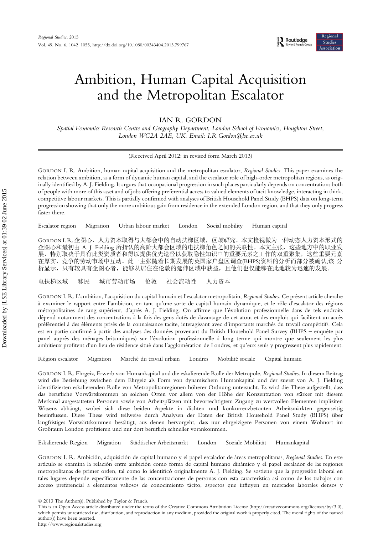## Ambition, Human Capital Acquisition and the Metropolitan Escalator

IAN R. GORDON

Spatial Economics Research Centre and Geography Department, London School of Economics, Houghton Street, London WC2A 2AE, UK. Email: I.R.Gordon@lse.ac.uk

(Received April 2012: in revised form March 2013)

GORDON I. R. Ambition, human capital acquisition and the metropolitan escalator, Regional Studies. This paper examines the relation between ambition, as a form of dynamic human capital, and the escalator role of high-order metropolitan regions, as originally identified by A. J. Fielding. It argues that occupational progression in such places particularly depends on concentrations both of people with more of this asset and of jobs offering preferential access to valued elements of tacit knowledge, interacting in thick, competitive labour markets. This is partially confirmed with analyses of British Household Panel Study (BHPS) data on long-term progression showing that only the more ambitious gain from residence in the extended London region, and that they only progress faster there.

Escalator region Migration Urban labour market London Social mobility Human capital

GORDON I. R. 企图心、人力资本取得与大都会中的自动扶梯区域,区域研究。本文检视做为一种动态人力资本形式的 企图心和最初由 A. J. Fielding 所指认的高阶大都会区域的电扶梯角色之间的关联性。本文主张,这些地方中的职业发 展,特别取决于具有此类资质者和得以提供优先途径以获取隐性知识中的重要元素之工作的双重聚集,这些重要元素 在厚实、竞争的劳动市场中互动。此一主张随着长期发展的英国家户盘区调查(BHPS)资料的分析而部分被确认,该 分 析显示,只有较具有企图心者,能够从居住在伦敦的延伸区域中获益,且他们也仅能够在此地较为迅速的发展。

电扶梯区域 移民 城市劳动市场 伦敦 社会流动性 人力资本

GORDON I. R. L'ambition, l'acquisition du capital humain et l'escalator metropolitain, Regional Studies. Ce présent article cherche à examiner le rapport entre l'ambition, en tant qu'une sorte de capital humain dynamique, et le rôle d'escalator des régions métropolitaines de rang supérieur, d'après A. J. Fielding. On affirme que l'évolution professionnelle dans de tels endroits dépend notamment des concentrations à la fois des gens dotés de davantage de cet atout et des emplois qui facilitent un accès préférentiel à des éléments prisés de la connaissance tacite, interagissant avec d'importants marchés du travail compétitifs. Cela est en partie confirmé à partir des analyses des données provenant du British Household Panel Survey (BHPS – enquête par panel auprès des ménages britanniques) sur l'évolution professionnelle à long terme qui montre que seulement les plus ambitieux profitent d'un lieu de résidence situé dans l'agglomération de Londres, et qu'eux seuls y progressent plus rapidement.

Région escalator Migration Marché du travail urbain Londres Mobilité sociale Capital humain

GORDON I. R. Ehrgeiz, Erwerb von Humankapital und die eskalierende Rolle der Metropole, Regional Studies. In diesem Beitrag wird die Beziehung zwischen dem Ehrgeiz als Form von dynamischem Humankapital und der zuerst von A. J. Fielding identifizierten eskalierenden Rolle von Metropolitanregionen höherer Ordnung untersucht. Es wird die These aufgestellt, dass das berufliche Vorwärtskommen an solchen Orten vor allem von der Höhe der Konzentration von stärker mit diesem Merkmal ausgestatteten Personen sowie von Arbeitsplätzen mit bevorrechtigtem Zugang zu wertvollen Elementen impliziten Wissens abhängt, wobei sich diese beiden Aspekte in dichten und konkurrenzbetonten Arbeitsmärkten gegenseitig beeinflussen. Diese These wird teilweise durch Analysen der Daten der British Household Panel Study (BHPS) über langfristiges Vorwärtskommen bestätigt, aus denen hervorgeht, dass nur ehrgeizigere Personen von einem Wohnort im Großraum London profitieren und nur dort beruflich schneller vorankommen.

Eskalierende Region Migration Städtischer Arbeitsmarkt London Soziale Mobilität Humankapital

GORDON I. R. Ambición, adquisición de capital humano y el papel escalador de áreas metropolitanas, Regional Studies. En este artículo se examina la relación entre ambición como forma de capital humano dinámico y el papel escalador de las regiones metropolitanas de primer orden, tal como lo identificó originalmente A. J. Fielding. Se sostiene que la progresión laboral en tales lugares depende específicamente de las concentraciones de personas con esta característica así como de los trabajos con acceso preferencial a elementos valiosos de conocimiento tácito, aspectos que influyen en mercados laborales densos y

© 2013 The Author(s). Published by Taylor & Francis.

This is an Open Access article distributed under the terms of the Creative Commons Attribution License (http://creativecommons.org/licenses/by/3.0), which permits unrestricted use, distribution, and reproduction in any medium, provided the original work is properly cited. The moral rights of the named author(s) have been asserted.

http://www.regionalstudies.org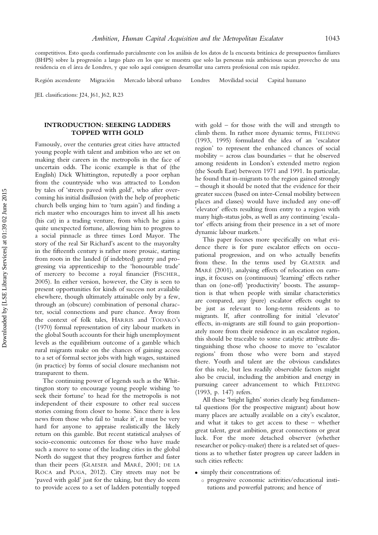competitivos. Esto queda confirmado parcialmente con los análisis de los datos de la encuesta británica de presupuestos familiares (BHPS) sobre la progresión a largo plazo en los que se muestra que solo las personas más ambiciosas sacan provecho de una residencia en el área de Londres, y que solo aquí consiguen desarrollar una carrera profesional con más rapidez.

Región ascendente Migración Mercado laboral urbano Londres Movilidad social Capital humano

JEL classifications: J24, J61, J62, R23

#### INTRODUCTION: SEEKING LADDERS TOPPED WITH GOLD

Famously, over the centuries great cities have attracted young people with talent and ambition who are set on making their careers in the metropolis in the face of uncertain odds. The iconic example is that of (the English) Dick Whittington, reputedly a poor orphan from the countryside who was attracted to London by tales of 'streets paved with gold', who after overcoming his initial disillusion (with the help of prophetic church bells urging him to 'turn again') and finding a rich master who encourages him to invest all his assets (his cat) in a trading venture, from which he gains a quite unexpected fortune, allowing him to progress to a social pinnacle as three times Lord Mayor. The story of the real Sir Richard's ascent to the mayoralty in the fifteenth century is rather more prosaic, starting from roots in the landed (if indebted) gentry and progressing via apprenticeship to the 'honourable trade' of mercery to become a royal financier (FISCHER, 2005). In either version, however, the City is seen to present opportunities for kinds of success not available elsewhere, though ultimately attainable only by a few, through an (obscure) combination of personal character, social connections and pure chance. Away from the context of folk tales, HARRIS and TODARO's (1970) formal representation of city labour markets in the global South accounts for their high unemployment levels as the equilibrium outcome of a gamble which rural migrants make on the chances of gaining access to a set of formal sector jobs with high wages, sustained (in practice) by forms of social closure mechanism not transparent to them.

The continuing power of legends such as the Whittington story to encourage young people wishing 'to seek their fortune' to head for the metropolis is not independent of their exposure to other real success stories coming from closer to home. Since there is less news from those who fail to 'make it', it must be very hard for anyone to appraise realistically the likely return on this gamble. But recent statistical analyses of socio-economic outcomes for those who have made such a move to some of the leading cities in the global North do suggest that they progress further and faster than their peers (GLAESER and MARÉ, 2001; DE LA ROCA and PUGA, 2012). City streets may not be 'paved with gold' just for the taking, but they do seem to provide access to a set of ladders potentially topped with gold – for those with the will and strength to climb them. In rather more dynamic terms, FIELDING (1993, 1995) formulated the idea of an 'escalator region' to represent the enhanced chances of social mobility – across class boundaries – that he observed among residents in London's extended metro region (the South East) between 1971 and 1991. In particular, he found that in-migrants to the region gained strongly – though it should be noted that the evidence for their greater success (based on inter-Censal mobility between places and classes) would have included any one-off 'elevator' effects resulting from entry to a region with many high-status jobs, as well as any continuing 'escalator' effects arising from their presence in a set of more dynamic labour markets.<sup>1</sup>

This paper focuses more specifically on what evidence there is for pure escalator effects on occupational progression, and on who actually benefits from these. In the terms used by GLAESER and MARÉ (2001), analysing effects of relocation on earnings, it focuses on (continuous) 'learning' effects rather than on (one-off) 'productivity' boosts. The assumption is that when people with similar characteristics are compared, any (pure) escalator effects ought to be just as relevant to long-term residents as to migrants. If, after controlling for initial 'elevator' effects, in-migrants are still found to gain proportionately more from their residence in an escalator region, this should be traceable to some catalytic attribute distinguishing those who choose to move to 'escalator regions' from those who were born and stayed there. Youth and talent are the obvious candidates for this role, but less readily observable factors might also be crucial, including the ambition and energy in pursuing career advancement to which FIELDING (1993, p. 147) refers.

All these 'bright lights' stories clearly beg fundamental questions (for the prospective migrant) about how many places are actually available on a city's escalator, and what it takes to get access to these – whether great talent, great ambition, great connections or great luck. For the more detached observer (whether researcher or policy-maker) there is a related set of questions as to whether faster progress up career ladders in such cities reflects:

- . simply their concentrations of:
	- progressive economic activities/educational institutions and powerful patrons; and hence of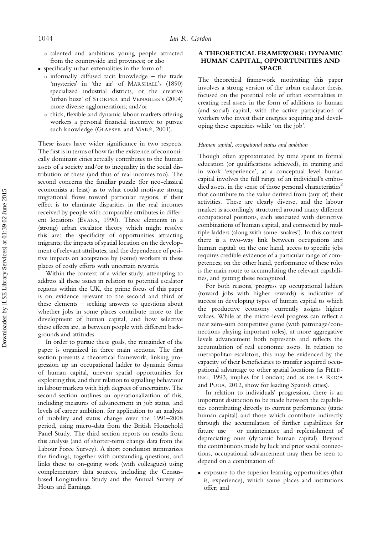- talented and ambitious young people attracted from the countryside and provinces; or also
- . specifically urban externalities in the form of:
	- $\circ$  informally diffused tacit knowledge the trade 'mysteries' in 'the air' of MARSHALL's (1890) specialized industrial districts, or the creative 'urban buzz' of STORPER and VENABLES's (2004) more diverse agglomerations; and/or
	- thick, flexible and dynamic labour markets offering workers a personal financial incentive to pursue such knowledge (GLAESER and MARÉ, 2001).

These issues have wider significance in two respects. The first is in terms of how far the existence of economically dominant cities actually contributes to the human assets of a society and/or to inequality in the social distribution of these (and thus of real incomes too). The second concerns the familiar puzzle (for neo-classical economists at least) as to what could motivate strong migrational flows toward particular regions, if their effect is to eliminate disparities in the real incomes received by people with comparable attributes in different locations (EVANS, 1990). Three elements in a (strong) urban escalator theory which might resolve this are: the specificity of opportunities attracting migrants; the impacts of spatial location on the development of relevant attributes; and the dependence of positive impacts on acceptance by (some) workers in these places of costly efforts with uncertain rewards.

Within the context of a wider study, attempting to address all these issues in relation to potential escalator regions within the UK, the prime focus of this paper is on evidence relevant to the second and third of these elements – seeking answers to questions about whether jobs in some places contribute more to the development of human capital, and how selective these effects are, as between people with different backgrounds and attitudes.

In order to pursue these goals, the remainder of the paper is organized in three main sections. The first section presents a theoretical framework, linking progression up an occupational ladder to dynamic forms of human capital, uneven spatial opportunities for exploiting this, and their relation to signalling behaviour in labour markets with high degrees of uncertainty. The second section outlines an operationalization of this, including measures of advancement in job status, and levels of career ambition, for application to an analysis of mobility and status change over the 1991–2008 period, using micro-data from the British Household Panel Study. The third section reports on results from this analysis (and of shorter-term change data from the Labour Force Survey). A short conclusion summarizes the findings, together with outstanding questions, and links these to on-going work (with colleagues) using complementary data sources, including the Censusbased Longitudinal Study and the Annual Survey of Hours and Earnings.

#### A THEORETICAL FRAMEWORK: DYNAMIC HUMAN CAPITAL, OPPORTUNITIES AND SPACE

The theoretical framework motivating this paper involves a strong version of the urban escalator thesis, focused on the potential role of urban externalities in creating real assets in the form of additions to human (and social) capital, with the active participation of workers who invest their energies acquiring and developing these capacities while 'on the job'.

#### Human capital, occupational status and ambition

Though often approximated by time spent in formal education (or qualifications achieved), in training and in work 'experience', at a conceptual level human capital involves the full range of an individual's embodied assets, in the sense of those personal characteristics<sup>2</sup> that contribute to the value derived from (any of) their activities. These are clearly diverse, and the labour market is accordingly structured around many different occupational positions, each associated with distinctive combinations of human capital, and connected by multiple ladders (along with some 'snakes'). In this context there is a two-way link between occupations and human capital: on the one hand, access to specific jobs requires credible evidence of a particular range of competences; on the other hand, performance of these roles is the main route to accumulating the relevant capabilities, and getting these recognized.

For both reasons, progress up occupational ladders (toward jobs with higher rewards) is indicative of success in developing types of human capital to which the productive economy currently assigns higher values. While at the micro-level progress can reflect a near zero-sum competitive game (with patronage/connections playing important roles), at more aggregative levels advancement both represents and reflects the accumulation of real economic assets. In relation to metropolitan escalators, this may be evidenced by the capacity of their beneficiaries to transfer acquired occupational advantage to other spatial locations (as FIELD-ING, 1993, implies for London; and as DE LA ROCA and PUGA, 2012, show for leading Spanish cities).

In relation to individuals' progression, there is an important distinction to be made between the capabilities contributing directly to current performance (static human capital) and those which contribute indirectly through the accumulation of further capabilities for future use – or maintenance and replenishment of depreciating ones (dynamic human capital). Beyond the contributions made by luck and prior social connections, occupational advancement may then be seen to depend on a combination of:

. exposure to the superior learning opportunities (that is, experience), which some places and institutions offer; and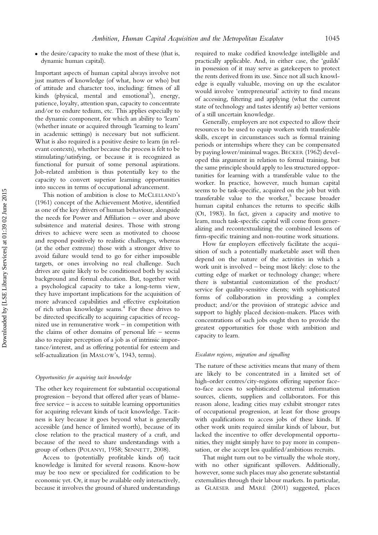. the desire/capacity to make the most of these (that is, dynamic human capital).

Important aspects of human capital always involve not just matters of knowledge (of what, how or who) but of attitude and character too, including: fitness of all kinds (physical, mental and emotional<sup>3</sup>), energy, patience, loyalty, attention span, capacity to concentrate and/or to endure tedium, etc. This applies especially to the dynamic component, for which an ability to 'learn' (whether innate or acquired through 'learning to learn' in academic settings) is necessary but not sufficient. What is also required is a positive desire to learn (in relevant contexts), whether because the process is felt to be stimulating/satisfying, or because it is recognized as functional for pursuit of some personal aspirations. Job-related ambition is thus potentially key to the capacity to convert superior learning opportunities into success in terms of occupational advancement.

This notion of ambition is close to McCLELLAND's (1961) concept of the Achievement Motive, identified as one of the key drivers of human behaviour, alongside the needs for Power and Affiliation – over and above subsistence and material desires. Those with strong drives to achieve were seen as motivated to choose and respond positively to realistic challenges, whereas (at the other extreme) those with a stronger drive to avoid failure would tend to go for either impossible targets, or ones involving no real challenge. Such drives are quite likely to be conditioned both by social background and formal education. But, together with a psychological capacity to take a long-term view, they have important implications for the acquisition of more advanced capabilities and effective exploitation of rich urban knowledge seams.4 For these drives to be directed specifically to acquiring capacities of recognized use in remunerative work – in competition with the claims of other domains of personal life – seems also to require perception of a job as of intrinsic importance/interest, and as offering potential for esteem and self-actualization (in MASLOW's, 1943, terms).

#### Opportunities for acquiring tacit knowledge

The other key requirement for substantial occupational progression – beyond that offered after years of blamefree service – is access to suitable learning opportunities for acquiring relevant kinds of tacit knowledge. Tacitness is key because it goes beyond what is generally accessible (and hence of limited worth), because of its close relation to the practical mastery of a craft, and because of the need to share understandings with a group of others (POLANYI, 1958; SENNETT, 2008).

Access to (potentially profitable kinds of) tacit knowledge is limited for several reasons. Know-how may be too new or specialized for codification to be economic yet. Or, it may be available only interactively, because it involves the ground of shared understandings required to make codified knowledge intelligible and practically applicable. And, in either case, the 'guilds' in possession of it may serve as gatekeepers to protect the rents derived from its use. Since not all such knowledge is equally valuable, moving on up the escalator would involve 'entrepreneurial' activity to find means of accessing, filtering and applying (what the current state of technology and tastes identify as) better versions of a still uncertain knowledge.

Generally, employers are not expected to allow their resources to be used to equip workers with transferable skills, except in circumstances such as formal training periods or internships where they can be compensated by paying lower/minimal wages. BECKER (1962) developed this argument in relation to formal training, but the same principle should apply to less structured opportunities for learning with a transferable value to the worker. In practice, however, much human capital seems to be task-specific, acquired on the job but with transferable value to the worker, $5$  because broader human capital enhances the returns to specific skills (OI, 1983). In fact, given a capacity and motive to learn, much task-specific capital will come from generalizing and recontextualizing the combined lessons of firm-specific training and non-routine work situations.

How far employers effectively facilitate the acquisition of such a potentially marketable asset will then depend on the nature of the activities in which a work unit is involved – being most likely: close to the cutting edge of market or technology change; where there is substantial customization of the product/ service for quality-sensitive clients; with sophisticated forms of collaboration in providing a complex product; and/or the provision of strategic advice and support to highly placed decision-makers. Places with concentrations of such jobs ought then to provide the greatest opportunities for those with ambition and capacity to learn.

#### Escalator regions, migration and signalling

The nature of these activities means that many of them are likely to be concentrated in a limited set of high-order centres/city-regions offering superior faceto-face access to sophisticated external information sources, clients, suppliers and collaborators. For this reason alone, leading cities may exhibit stronger rates of occupational progression, at least for those groups with qualifications to access jobs of these kinds. If other work units required similar kinds of labour, but lacked the incentive to offer developmental opportunities, they might simply have to pay more in compensation, or else accept less qualified/ambitious recruits.

That might turn out to be virtually the whole story, with no other significant spillovers. Additionally, however, some such places may also generate substantial externalities through their labour markets. In particular, as GLAESER and MARÉ (2001) suggested, places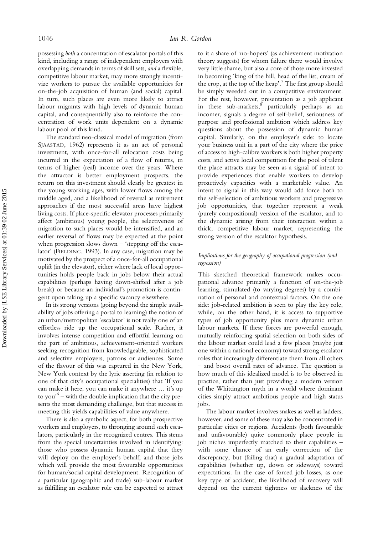possessing both a concentration of escalator portals of this kind, including a range of independent employers with overlapping demands in terms of skill sets, and a flexible, competitive labour market, may more strongly incentivize workers to pursue the available opportunities for on-the-job acquisition of human (and social) capital. In turn, such places are even more likely to attract labour migrants with high levels of dynamic human capital, and consequentially also to reinforce the concentration of work units dependent on a dynamic labour pool of this kind.

The standard neo-classical model of migration (from SJAASTAD, 1962) represents it as an act of personal investment, with once-for-all relocation costs being incurred in the expectation of a flow of returns, in terms of higher (real) income over the years. Where the attractor is better employment prospects, the return on this investment should clearly be greatest in the young working ages, with lower flows among the middle aged, and a likelihood of reversal as retirement approaches if the most successful areas have highest living costs. If place-specific elevator processes primarily affect (ambitious) young people, the selectiveness of migration to such places would be intensified, and an earlier reversal of flows may be expected at the point when progression slows down  $-$  'stepping off the escalator' (FIELDING, 1993). In any case, migration may be motivated by the prospect of a once-for-all occupational uplift (in the elevator), either where lack of local opportunities holds people back in jobs below their actual capabilities (perhaps having down-shifted after a job break) or because an individual's promotion is contingent upon taking up a specific vacancy elsewhere.

In its strong versions (going beyond the simple availability of jobs offering a portal to learning) the notion of an urban/metropolitan 'escalator' is not really one of an effortless ride up the occupational scale. Rather, it involves intense competition and effortful learning on the part of ambitious, achievement-oriented workers seeking recognition from knowledgeable, sophisticated and selective employers, patrons or audiences. Some of the flavour of this was captured in the New York, New York context by the lyric asserting (in relation to one of that city's occupational specialities) that 'If you can make it here, you can make it anywhere … it's up to you' <sup>6</sup> – with the double implication that the city presents the most demanding challenge, but that success in meeting this yields capabilities of value anywhere.

There is also a symbolic aspect, for both prospective workers and employers, to thronging around such escalators, particularly in the recognized centres. This stems from the special uncertainties involved in identifying: those who possess dynamic human capital that they will deploy on the employer's behalf; and those jobs which will provide the most favourable opportunities for human/social capital development. Recognition of a particular (geographic and trade) sub-labour market as fulfilling an escalator role can be expected to attract

to it a share of 'no-hopers' (as achievement motivation theory suggests) for whom failure there would involve very little shame, but also a core of those more invested in becoming 'king of the hill, head of the list, cream of the crop, at the top of the heap'. <sup>7</sup> The first group should be simply weeded out in a competitive environment. For the rest, however, presentation as a job applicant in these sub-markets, $\stackrel{8}{\sim}$  particularly perhaps as an incomer, signals a degree of self-belief, seriousness of purpose and professional ambition which address key questions about the possession of dynamic human capital. Similarly, on the employer's side: to locate your business unit in a part of the city where the price of access to high-calibre workers is both higher property costs, and active local competition for the pool of talent the place attracts may be seen as a signal of intent to provide experiences that enable workers to develop proactively capacities with a marketable value. An intent to signal in this way would add force both to the self-selection of ambitious workers and progressive job opportunities, that together represent a weak (purely compositional) version of the escalator, and to the dynamic arising from their interaction within a thick, competitive labour market, representing the strong version of the escalator hypothesis.

#### Implications for the geography of occupational progression (and regression)

This sketched theoretical framework makes occupational advance primarily a function of on-the-job learning, stimulated (to varying degrees) by a combination of personal and contextual factors. On the one side: job-related ambition is seen to play the key role, while, on the other hand, it is access to supportive types of job opportunity plus more dynamic urban labour markets. If these forces are powerful enough, mutually reinforcing spatial selection on both sides of the labour market could lead a few places (maybe just one within a national economy) toward strong escalator roles that increasingly differentiate them from all others – and boost overall rates of advance. The question is how much of this idealized model is to be observed in practice, rather than just providing a modern version of the Whittington myth in a world where dominant cities simply attract ambitious people and high status jobs.

The labour market involves snakes as well as ladders, however, and some of these may also be concentrated in particular cities or regions. Accidents (both favourable and unfavourable) quite commonly place people in job niches imperfectly matched to their capabilities – with some chance of an early correction of the discrepancy, but (failing that) a gradual adaptation of capabilities (whether up, down or sideways) toward expectations. In the case of forced job losses, as one key type of accident, the likelihood of recovery will depend on the current tightness or slackness of the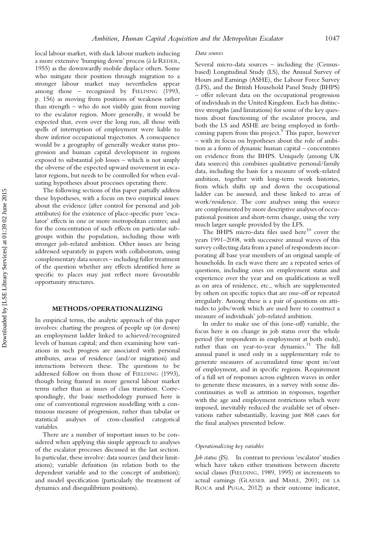local labour market, with slack labour markets inducing a more extensive 'bumping down' process (à la REDER, 1955) as the downwardly mobile displace others. Some who mitigate their position through migration to a stronger labour market may nevertheless appear among those – recognized by FIELDING (1993, p. 156) as moving from positions of weakness rather than strength – who do not visibly gain from moving to the escalator region. More generally, it would be expected that, even over the long run, all those with spells of interruption of employment were liable to show inferior occupational trajectories. A consequence would be a geography of generally weaker status progression and human capital development in regions exposed to substantial job losses – which is not simply the obverse of the expected upward movement in escalator regions, but needs to be controlled for when evaluating hypotheses about processes operating there.

The following sections of this paper partially address these hypotheses, with a focus on two empirical issues: about the evidence (after control for personal and job attributes) for the existence of place-specific pure 'escalator' effects in one or more metropolitan centres; and for the concentration of such effects on particular subgroups within the population, including those with stronger job-related ambition. Other issues are being addressed separately in papers with collaborators, using complementary data sources – including fuller treatment of the question whether any effects identified here as specific to places may just reflect more favourable opportunity structures.

#### METHODS/OPERATIONALIZING

In empirical terms, the analytic approach of this paper involves: charting the progress of people up (or down) an employment ladder linked to achieved/recognized levels of human capital; and then examining how variations in such progress are associated with personal attributes, areas of residence (and/or migration) and interactions between these. The questions to be addressed follow on from those of FIELDING (1993), though being framed in more general labour market terms rather than as issues of class transition. Correspondingly, the basic methodology pursued here is one of conventional regression modelling with a continuous measure of progression, rather than tabular or statistical analyses of cross-classified categorical variables.

There are a number of important issues to be considered when applying this simple approach to analyses of the escalator processes discussed in the last section. In particular, these involve: data sources (and their limitations); variable definition (in relation both to the dependent variable and to the concept of ambition); and model specification (particularly the treatment of dynamics and disequilibrium positions).

#### Data sources

Several micro-data sources – including the (Censusbased) Longitudinal Study (LS), the Annual Survey of Hours and Earnings (ASHE), the Labour Force Survey (LFS), and the British Household Panel Study (BHPS) – offer relevant data on the occupational progression of individuals in the United Kingdom. Each has distinctive strengths (and limitations) for some of the key questions about functioning of the escalator process, and both the LS and ASHE are being employed in forthcoming papers from this project.<sup>9</sup> This paper, however – with its focus on hypotheses about the role of ambition as a form of dynamic human capital – concentrates on evidence from the BHPS. Uniquely (among UK data sources) this combines qualitative personal/family data, including the basis for a measure of work-related ambition, together with long-term work histories, from which shifts up and down the occupational ladder can be assessed, and these linked to areas of work/residence. The core analyses using this source are complemented by more descriptive analyses of occupational position and short-term change, using the very much larger sample provided by the LFS.

The BHPS micro-data files used here $^{10}$  cover the years 1991–2008, with successive annual waves of this survey collecting data from a panel of respondents incorporating all base year members of an original sample of households. In each wave there are a repeated series of questions, including ones on employment status and experience over the year and on qualifications as well as on area of residence, etc., which are supplemented by others on specific topics that are one-off or repeated irregularly. Among these is a pair of questions on attitudes to jobs/work which are used here to construct a measure of individuals' job-related ambition.

In order to make use of this (one-off) variable, the focus here is on change in job status over the whole period (for respondents in employment at both ends), rather than on year-to-year dynamics.<sup>11</sup> The full annual panel is used only in a supplementary role to generate measures of accumulated time spent in/out of employment, and in specific regions. Requirement of a full set of responses across eighteen waves in order to generate these measures, in a survey with some discontinuities as well as attrition in responses, together with the age and employment restrictions which were imposed, inevitably reduced the available set of observations rather substantially, leaving just 868 cases for the final analyses presented below.

#### Operationalizing key variables

Job status (JS). In contrast to previous 'escalator' studies which have taken either transitions between discrete social classes (FIELDING, 1989, 1995) or increments to actual earnings (GLAESER and MARÉ, 2001; DE LA ROCA and PUGA, 2012) as their outcome indicator,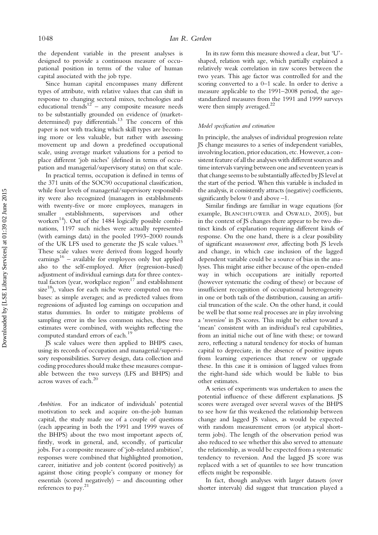the dependent variable in the present analyses is designed to provide a continuous measure of occupational position in terms of the value of human capital associated with the job type.

Since human capital encompasses many different types of attribute, with relative values that can shift in response to changing sectoral mixes, technologies and educational trends<sup>12</sup> – any composite measure needs to be substantially grounded on evidence of (marketdetermined) pay differentials.<sup>13</sup> The concern of this paper is not with tracking which skill types are becoming more or less valuable, but rather with assessing movement up and down a predefined occupational scale, using average market valuations for a period to place different 'job niches' (defined in terms of occupation and managerial/supervisory status) on that scale.

In practical terms, occupation is defined in terms of the 371 units of the SOC90 occupational classification, while four levels of managerial/supervisory responsibility were also recognized (managers in establishments with twenty-five or more employees, managers in smaller establishments, supervisors and other workers<sup>14</sup>). Out of the 1484 logically possible combinations, 1197 such niches were actually represented (with earnings data) in the pooled 1993–2000 rounds of the UK LFS used to generate the JS scale values.<sup>15</sup> These scale values were derived from logged hourly earnings<sup>16</sup> – available for employees only but applied also to the self-employed. After (regression-based) adjustment of individual earnings data for three contextual factors (year, workplace  $\text{region}^{17}$  and establishment size $^{18}$ ), values for each niche were computed on two bases: as simple averages; and as predicted values from regressions of adjusted log earnings on occupation and status dummies. In order to mitigate problems of sampling error in the less common niches, these two estimates were combined, with weights reflecting the computed standard errors of each.<sup>19</sup>

JS scale values were then applied to BHPS cases, using its records of occupation and managerial/supervisory responsibilities. Survey design, data collection and coding procedures should make these measures comparable between the two surveys (LFS and BHPS) and across waves of each.<sup>20</sup>

Ambition. For an indicator of individuals' potential motivation to seek and acquire on-the-job human capital, the study made use of a couple of questions (each appearing in both the 1991 and 1999 waves of the BHPS) about the two most important aspects of, firstly, work in general, and, secondly, of particular jobs. For a composite measure of 'job-related ambition', responses were combined that highlighted promotion, career, initiative and job content (scored positively) as against those citing people's company or money for essentials (scored negatively) – and discounting other references to pay.21

In its raw form this measure showed a clear, but 'U' shaped, relation with age, which partially explained a relatively weak correlation in raw scores between the two years. This age factor was controlled for and the scoring converted to a 0–1 scale. In order to derive a measure applicable to the 1991–2008 period, the agestandardized measures from the 1991 and 1999 surveys were then simply averaged.<sup>22</sup>

#### Model specification and estimation

In principle, the analyses of individual progression relate JS change measures to a series of independent variables, involving location, prior education, etc. However, a consistent feature of all the analyses with different sources and time intervals varying between one and seventeen years is that change seems to be substantially affected by JS level at the start of the period. When this variable is included in the analysis, it consistently attracts (negative) coefficients, significantly below 0 and above –1.

Similar findings are familiar in wage equations (for example, BLANCHFLOWER and OSWALD, 2005), but in the context of JS changes there appear to be two distinct kinds of explanation requiring different kinds of response. On the one hand, there is a clear possibility of significant measurement error, affecting both JS levels and change, in which case inclusion of the lagged dependent variable could be a source of bias in the analyses. This might arise either because of the open-ended way in which occupations are initially reported (however systematic the coding of these) or because of insufficient recognition of occupational heterogeneity in one or both tails of the distribution, causing an artificial truncation of the scale. On the other hand, it could be well be that some real processes are in play involving a 'reversion' in JS scores. This might be either toward a 'mean' consistent with an individual's real capabilities, from an initial niche out of line with these; or toward zero, reflecting a natural tendency for stocks of human capital to depreciate, in the absence of positive inputs from learning experiences that renew or upgrade these. In this case it is omission of lagged values from the right-hand side which would be liable to bias other estimates.

A series of experiments was undertaken to assess the potential influence of these different explanations. JS scores were averaged over several waves of the BHPS to see how far this weakened the relationship between change and lagged JS values, as would be expected with random measurement errors (or atypical shortterm jobs). The length of the observation period was also reduced to see whether this also served to attenuate the relationship, as would be expected from a systematic tendency to reversion. And the lagged JS score was replaced with a set of quantiles to see how truncation effects might be responsible.

In fact, though analyses with larger datasets (over shorter intervals) did suggest that truncation played a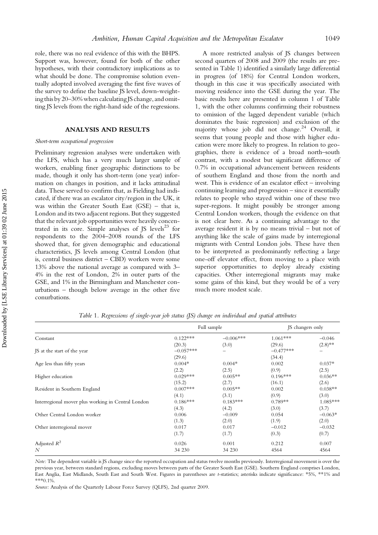role, there was no real evidence of this with the BHPS. Support was, however, found for both of the other hypotheses, with their contradictory implications as to what should be done. The compromise solution eventually adopted involved averaging the first five waves of the survey to define the baseline JS level, down-weightingthis by 20–30% when calculatingJS change, and omitting JS levels from the right-hand side of the regressions.

#### ANALYSIS AND RESULTS

#### Short-term occupational progression

Preliminary regression analyses were undertaken with the LFS, which has a very much larger sample of workers, enabling finer geographic distinctions to be made, though it only has short-term (one year) information on changes in position, and it lacks attitudinal data. These served to confirm that, as Fielding had indicated, if there was an escalator city/region in the UK, it was within the Greater South East (GSE) – that is, London and its two adjacent regions. But they suggested that the relevant job opportunities were heavily concentrated in its core. Simple analyses of JS levels $^{23}$  for respondents to the 2004–2008 rounds of the LFS showed that, for given demographic and educational characteristics, JS levels among Central London (that is, central business district – CBD) workers were some 13% above the national average as compared with 3– 4% in the rest of London, 2% in outer parts of the GSE, and 1% in the Birmingham and Manchester conurbations – though below average in the other five conurbations.

A more restricted analysis of JS changes between second quarters of 2008 and 2009 (the results are presented in Table 1) identified a similarly large differential in progress (of 18%) for Central London workers, though in this case it was specifically associated with moving residence into the GSE during the year. The basic results here are presented in column 1 of Table 1, with the other columns confirming their robustness to omission of the lagged dependent variable (which dominates the basic regression) and exclusion of the majority whose job did not change.<sup>24</sup> Overall, it seems that young people and those with higher education were more likely to progress. In relation to geographies, there is evidence of a broad north–south contrast, with a modest but significant difference of 0.7% in occupational advancement between residents of southern England and those from the north and west. This is evidence of an escalator effect – involving continuing learning and progression – since it essentially relates to people who stayed within one of these two super-regions. It might possibly be stronger among Central London workers, though the evidence on that is not clear here. As a continuing advantage to the average resident it is by no means trivial – but not of anything like the scale of gains made by interregional migrants with Central London jobs. These have then to be interpreted as predominantly reflecting a large one-off elevator effect, from moving to a place with superior opportunities to deploy already existing capacities. Other interregional migrants may make some gains of this kind, but they would be of a very much more modest scale.

| Constant                                           | Full sample           |                     | JS changers only      |                     |
|----------------------------------------------------|-----------------------|---------------------|-----------------------|---------------------|
|                                                    | $0.122***$            | $-0.006***$         | $1.061***$            | $-0.046$            |
| IS at the start of the year                        | (20.3)<br>$-0.057***$ | (3.0)               | (29.6)<br>$-0.477***$ | $(2.8)$ **          |
| Age less than fifty years                          | (29.6)<br>$0.004*$    | $0.004*$            | (34.4)<br>0.002       | $0.037*$            |
| Higher education                                   | (2.2)<br>$0.029***$   | (2.5)<br>$0.005**$  | (0.9)<br>$0.196***$   | (2.5)<br>$0.036**$  |
| Resident in Southern England                       | (15.2)<br>$0.007***$  | (2.7)<br>$0.005**$  | (16.1)<br>0.002       | (2.6)<br>$0.038**$  |
| Interregional mover plus working in Central London | (4.1)<br>$0.186***$   | (3.1)<br>$0.183***$ | (0.9)<br>$0.789**$    | (3.0)<br>$1.085***$ |
|                                                    | (4.3)                 | (4.2)               | (3.0)                 | (3.7)               |
| Other Central London worker                        | 0.006<br>(1.3)        | $-0.009$<br>(2.0)   | 0.054<br>(1.9)        | $-0.063*$<br>(2.0)  |
| Other interregional mover                          | 0.017<br>(1.7)        | 0.017<br>(1.7)      | $-0.012$<br>(0.3)     | $-0.032$<br>(0.7)   |
| Adjusted $R^2$                                     | 0.026                 | 0.001               | 0.212                 | 0.007               |
| N                                                  | 34 230                | 34 230              | 4564                  | 4564                |

Table 1. Regressions of single-year job status (JS) change on individual and spatial attributes

Note: The dependent variable is JS change since the reported occupation and status twelve months previously. Interregional movement is over the previous year, between standard regions, excluding moves between parts of the Greater South East (GSE). Southern England comprises London, East Anglia, East Midlands, South East and South West. Figures in parentheses are t-statistics; asterisks indicate significance: \*5%, \*\*1% and \*\*\*0.1%.

Source: Analysis of the Quarterly Labour Force Survey (QLFS), 2nd quarter 2009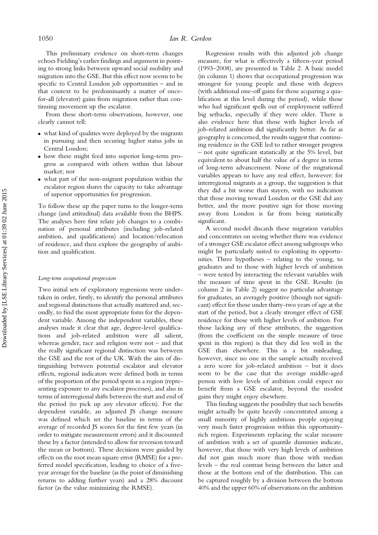This preliminary evidence on short-term changes echoes Fielding's earlier findings and argument in pointing to strong links between upward social mobility and migration into the GSE. But this effect now seems to be specific to Central London job opportunities – and in that context to be predominantly a matter of oncefor-all (elevator) gains from migration rather than continuing movement up the escalator.

From these short-term observations, however, one clearly cannot tell:

- . what kind of qualities were deployed by the migrants in pursuing and then securing higher status jobs in Central London;
- . how these might feed into superior long-term progress as compared with others within that labour market; nor
- . what part of the non-migrant population within the escalator region shares the capacity to take advantage of superior opportunities for progression.

To follow these up the paper turns to the longer-term change (and attitudinal) data available from the BHPS. The analyses here first relate job changes to a combination of personal attributes (including job-related ambition, and qualifications) and location/relocation of residence, and then explore the geography of ambition and qualification.

#### Long-term occupational progression

Two initial sets of exploratory regressions were undertaken in order, firstly, to identify the personal attributes and regional distinctions that actually mattered and, secondly, to find the most appropriate form for the dependent variable. Among the independent variables, these analyses made it clear that age, degree-level qualifications and job-related ambition were all salient, whereas gender, race and religion were not – and that the really significant regional distinction was between the GSE and the rest of the UK. With the aim of distinguishing between potential escalator and elevator effects, regional indicators were defined both in terms of the proportion of the period spent in a region (representing exposure to any escalator processes), and also in terms of interregional shifts between the start and end of the period (to pick up any elevator effects). For the dependent variable, an adjusted JS change measure was defined which set the baseline in terms of the average of recorded JS scores for the first few years (in order to mitigate measurement errors) and it discounted these by a factor (intended to allow for reversion toward the mean or bottom). These decisions were guided by effects on the root mean square error (RMSE) for a preferred model specification, leading to choice of a fiveyear average for the baseline (as the point of diminishing returns to adding further years) and a 28% discount factor (as the value minimizing the RMSE).

Regression results with this adjusted job change measure, for what is effectively a fifteen-year period (1993–2008), are presented in Table 2. A basic model (in column 1) shows that occupational progression was strongest for young people and those with degrees (with additional one-off gains for those acquiring a qualification at this level during the period), while those who had significant spells out of employment suffered big setbacks, especially if they were older. There is also evidence here that those with higher levels of job-related ambition did significantly better. As far as geography is concerned, the results suggest that continuing residence in the GSE led to rather stronger progress – not quite significant statistically at the 5% level, but equivalent to about half the value of a degree in terms of long-term advancement. None of the migrational variables appears to have any real effect, however: for interregional migrants as a group, the suggestion is that they did a bit worse than stayers, with no indication that those moving toward London or the GSE did any better, and the more positive sign for those moving away from London is far from being statistically significant.

A second model discards these migration variables and concentrates on seeing whether there was evidence of a stronger GSE escalator effect among subgroups who might be particularly suited to exploiting its opportunities. Three hypotheses – relating to the young, to graduates and to those with higher levels of ambition – were tested by interacting the relevant variables with the measure of time spent in the GSE. Results (in column 2 in Table 2) suggest no particular advantage for graduates, an averagely positive (though not significant) effect for those under thirty-two years of age at the start of the period, but a clearly stronger effect of GSE residence for those with higher levels of ambition. For those lacking any of these attributes, the suggestion (from the coefficient on the simple measure of time spent in this region) is that they did less well in the GSE than elsewhere. This is a bit misleading, however, since no one in the sample actually received a zero score for job-related ambition – but it does seem to be the case that the average middle-aged person with low levels of ambition could expect no benefit from a GSE escalator, beyond the modest gains they might enjoy elsewhere.

This finding suggests the possibility that such benefits might actually be quite heavily concentrated among a small minority of highly ambitious people enjoying very much faster progression within this opportunityrich region. Experiments replacing the scalar measure of ambition with a set of quantile dummies indicate, however, that those with very high levels of ambition did not gain much more than those with median levels – the real contrast being between the latter and those at the bottom end of the distribution. This can be captured roughly by a division between the bottom 40% and the upper 60% of observations on the ambition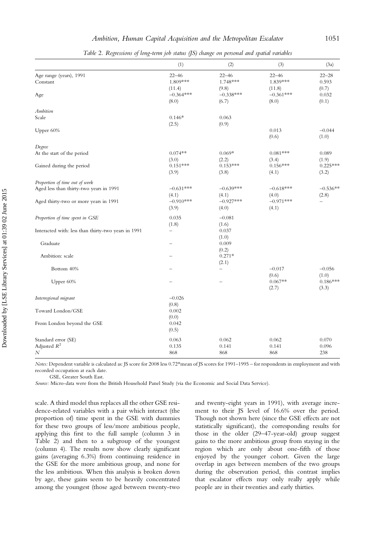|                                                     | (1)         | (2)                      | (3)                   | (3a)       |
|-----------------------------------------------------|-------------|--------------------------|-----------------------|------------|
|                                                     |             |                          |                       |            |
| Age range (years), 1991                             | $22 - 46$   | $22 - 46$                | $22 - 46$<br>1.839*** | $22 - 28$  |
| Constant                                            | 1.809***    | 1.748***                 |                       | 0.593      |
|                                                     | (11.4)      | (9.8)                    | (11.8)                | (0.7)      |
| Age                                                 | $-0.364***$ | $-0.338***$              | $-0.361***$           | 0.032      |
|                                                     | (8.0)       | (6.7)                    | (8.0)                 | (0.1)      |
| <b>Ambition</b>                                     |             |                          |                       |            |
| Scale                                               | $0.146*$    | 0.063                    |                       |            |
|                                                     | (2.5)       | (0.9)                    |                       |            |
| Upper 60%                                           |             |                          | 0.013                 | $-0.044$   |
|                                                     |             |                          | (0.6)                 | (1.0)      |
| Degree                                              |             |                          |                       |            |
| At the start of the period                          | $0.074**$   | $0.069*$                 | $0.081***$            | 0.089      |
|                                                     | (3.0)       | (2.2)                    | (3.4)                 | (1.9)      |
| Gained during the period                            | $0.151***$  | $0.153***$               | $0.156***$            | $0.225***$ |
|                                                     | (3.9)       | (3.8)                    | (4.1)                 | (3.2)      |
|                                                     |             |                          |                       |            |
| Proportion of time out of work                      |             |                          |                       |            |
| Aged less than thirty-two years in 1991             | $-0.631***$ | $-0.639***$              | $-0.618***$           | $-0.536**$ |
|                                                     | (4.1)       | (4.1)                    | (4.0)                 | (2.8)      |
| Aged thirty-two or more years in 1991               | $-0.910***$ | $-0.927***$              | $-0.971***$           |            |
|                                                     | (3.9)       | (4.0)                    | (4.1)                 |            |
| Proportion of time spent in GSE                     | 0.035       | $-0.081$                 |                       |            |
|                                                     | (1.8)       | (1.6)                    |                       |            |
| Interacted with: less than thirty-two years in 1991 | -           | 0.037                    |                       |            |
|                                                     |             | (1.0)                    |                       |            |
| Graduate                                            |             | 0.009                    |                       |            |
|                                                     |             | (0.2)                    |                       |            |
| Ambition: scale                                     |             | $0.271*$                 |                       |            |
|                                                     |             | (2.1)                    |                       |            |
| Bottom 40%                                          |             | $\overline{\phantom{0}}$ | $-0.017$              | $-0.056$   |
|                                                     |             |                          | (0.6)                 | (1.0)      |
| Upper 60%                                           |             |                          | $0.067**$             | $0.186***$ |
|                                                     |             |                          | (2.7)                 | (3.3)      |
|                                                     | $-0.026$    |                          |                       |            |
| Interregional migrant                               | (0.8)       |                          |                       |            |
| Toward London/GSE                                   | 0.002       |                          |                       |            |
|                                                     | (0.0)       |                          |                       |            |
| From London beyond the GSE                          | 0.042       |                          |                       |            |
|                                                     | (0.5)       |                          |                       |            |
|                                                     |             |                          |                       |            |
| Standard error (SE)                                 | 0.063       | 0.062                    | 0.062                 | 0.070      |
| Adjusted $R^2$                                      | 0.135       | 0.141                    | 0.141                 | 0.096      |
| N                                                   | 868         | 868                      | 868                   | 238        |

Table 2. Regressions of long-term job status (JS) change on personal and spatial variables

Notes: Dependent variable is calculated as: JS score for 2008 less 0.72\*mean of JS scores for 1991–1995 – for respondents in employment and with recorded occupation at each date.

GSE, Greater South East.

Source: Micro-data were from the British Household Panel Study (via the Economic and Social Data Service).

scale. A third model thus replaces all the other GSE residence-related variables with a pair which interact (the proportion of) time spent in the GSE with dummies for these two groups of less/more ambitious people, applying this first to the full sample (column 3 in Table 2) and then to a subgroup of the youngest (column 4). The results now show clearly significant gains (averaging 6.3%) from continuing residence in the GSE for the more ambitious group, and none for the less ambitious. When this analysis is broken down by age, these gains seem to be heavily concentrated among the youngest (those aged between twenty-two

and twenty-eight years in 1991), with average increment to their JS level of 16.6% over the period. Though not shown here (since the GSE effects are not statistically significant), the corresponding results for those in the older (29–47-year-old) group suggest gains to the more ambitious group from staying in the region which are only about one-fifth of those enjoyed by the younger cohort. Given the large overlap in ages between members of the two groups during the observation period, this contrast implies that escalator effects may only really apply while people are in their twenties and early thirties.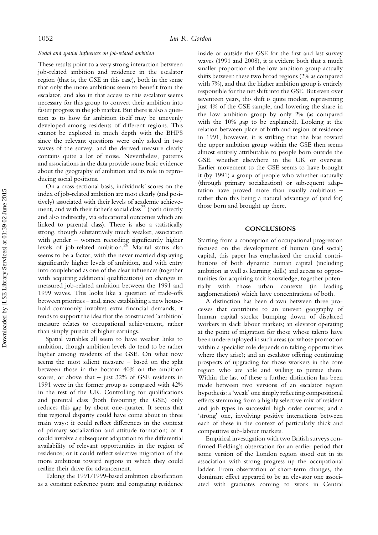#### Social and spatial influences on job-related ambition

These results point to a very strong interaction between job-related ambition and residence in the escalator region (that is, the GSE in this case), both in the sense that only the more ambitious seem to benefit from the escalator, and also in that access to this escalator seems necessary for this group to convert their ambition into faster progress in the job market. But there is also a question as to how far ambition itself may be unevenly developed among residents of different regions. This cannot be explored in much depth with the BHPS since the relevant questions were only asked in two waves of the survey, and the derived measure clearly contains quite a lot of noise. Nevertheless, patterns and associations in the data provide some basic evidence about the geography of ambition and its role in reproducing social positions.

On a cross-sectional basis, individuals' scores on the index of job-related ambition are most clearly (and positively) associated with their levels of academic achievement, and with their father's social class<sup>25</sup> (both directly and also indirectly, via educational outcomes which are linked to parental class). There is also a statistically strong, though substantively much weaker, association with gender – women recording significantly higher levels of job-related ambition.<sup>26</sup> Marital status also seems to be a factor, with the never married displaying significantly higher levels of ambition, and with entry into couplehood as one of the clear influences (together with acquiring additional qualifications) on changes in measured job-related ambition between the 1991 and 1999 waves. This looks like a question of trade-offs between priorities – and, since establishing a new household commonly involves extra financial demands, it tends to support the idea that the constructed 'ambition' measure relates to occupational achievement, rather than simply pursuit of higher earnings.

Spatial variables all seem to have weaker links to ambition, though ambition levels do tend to be rather higher among residents of the GSE. On what now seems the most salient measure – based on the split between those in the bottom 40% on the ambition scores, or above that  $-$  just 32% of GSE residents in 1991 were in the former group as compared with 42% in the rest of the UK. Controlling for qualifications and parental class (both favouring the GSE) only reduces this gap by about one-quarter. It seems that this regional disparity could have come about in three main ways: it could reflect differences in the context of primary socialization and attitude formation; or it could involve a subsequent adaptation to the differential availability of relevant opportunities in the region of residence; or it could reflect selective migration of the more ambitious toward regions in which they could realize their drive for advancement.

Taking the 1991/1999-based ambition classification as a constant reference point and comparing residence inside or outside the GSE for the first and last survey waves (1991 and 2008), it is evident both that a much smaller proportion of the low ambition group actually shifts between these two broad regions (2% as compared with 7%), and that the higher ambition group is entirely responsible for the net shift into the GSE. But even over seventeen years, this shift is quite modest, representing just 4% of the GSE sample, and lowering the share in the low ambition group by only 2% (as compared with the 10% gap to be explained). Looking at the relation between place of birth and region of residence in 1991, however, it is striking that the bias toward the upper ambition group within the GSE then seems almost entirely attributable to people born outside the GSE, whether elsewhere in the UK or overseas. Earlier movement to the GSE seems to have brought it (by 1991) a group of people who whether naturally (through primary socialization) or subsequent adaptation have proved more than usually ambitious – rather than this being a natural advantage of (and for) those born and brought up there.

#### **CONCLUSIONS**

Starting from a conception of occupational progression focused on the development of human (and social) capital, this paper has emphasized the crucial contributions of both dynamic human capital (including ambition as well as learning skills) and access to opportunities for acquiring tacit knowledge, together potentially with those urban contexts (in leading agglomerations) which have concentrations of both.

A distinction has been drawn between three processes that contribute to an uneven geography of human capital stocks: bumping down of displaced workers in slack labour markets; an elevator operating at the point of migration for those whose talents have been underemployed in such areas (or whose promotion within a specialist role depends on taking opportunities where they arise); and an escalator offering continuing prospects of upgrading for those workers in the core region who are able and willing to pursue them. Within the last of these a further distinction has been made between two versions of an escalator region hypothesis: a 'weak' one simply reflecting compositional effects stemming from a highly selective mix of resident and job types in successful high order centres; and a 'strong' one, involving positive interactions between each of these in the context of particularly thick and competitive sub-labour markets.

Empirical investigation with two British surveys confirmed Fielding's observation for an earlier period that some version of the London region stood out in its association with strong progress up the occupational ladder. From observation of short-term changes, the dominant effect appeared to be an elevator one associated with graduates coming to work in Central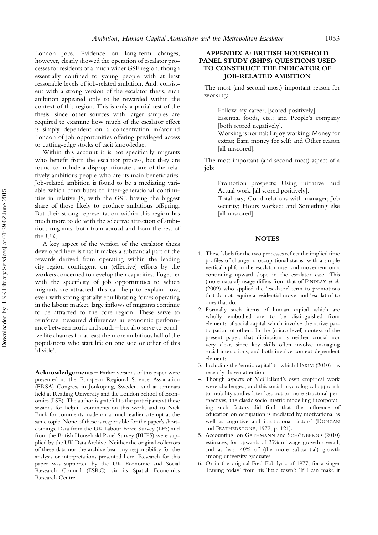London jobs. Evidence on long-term changes, however, clearly showed the operation of escalator processes for residents of a much wider GSE region, though essentially confined to young people with at least reasonable levels of job-related ambition. And, consistent with a strong version of the escalator thesis, such ambition appeared only to be rewarded within the context of this region. This is only a partial test of the thesis, since other sources with larger samples are required to examine how much of the escalator effect is simply dependent on a concentration in/around London of job opportunities offering privileged access to cutting-edge stocks of tacit knowledge.

Within this account it is not specifically migrants who benefit from the escalator process, but they are found to include a disproportionate share of the relatively ambitious people who are its main beneficiaries. Job-related ambition is found to be a mediating variable which contributes to inter-generational continuities in relative JS, with the GSE having the biggest share of those likely to produce ambitious offspring. But their strong representation within this region has much more to do with the selective attraction of ambitious migrants, both from abroad and from the rest of the UK.

A key aspect of the version of the escalator thesis developed here is that it makes a substantial part of the rewards derived from operating within the leading city-region contingent on (effective) efforts by the workers concerned to develop their capacities. Together with the specificity of job opportunities to which migrants are attracted, this can help to explain how, even with strong spatially equilibrating forces operating in the labour market, large inflows of migrants continue to be attracted to the core region. These serve to reinforce measured differences in economic performance between north and south – but also serve to equalize life chances for at least the more ambitious half of the populations who start life on one side or other of this 'divide'.

Acknowledgements – Earlier versions of this paper were presented at the European Regional Science Association (ERSA) Congress in Jonkoping, Sweden, and at seminars held at Reading University and the London School of Economics (LSE). The author is grateful to the participants at these sessions for helpful comments on this work; and to Nick Buck for comments made on a much earlier attempt at the same topic. None of these is responsible for the paper's shortcomings. Data from the UK Labour Force Survey (LFS) and from the British Household Panel Survey (BHPS) were supplied by the UK Data Archive. Neither the original collectors of these data nor the archive bear any responsibility for the analysis or interpretations presented here. Research for this paper was supported by the UK Economic and Social Research Council (ESRC) via its Spatial Economics Research Centre.

#### APPENDIX A: BRITISH HOUSEHOLD PANEL STUDY (BHPS) QUESTIONS USED TO CONSTRUCT THE INDICATOR OF JOB-RELATED AMBITION

The most (and second-most) important reason for working:

Follow my career; [scored positively].

Essential foods, etc.; and People's company [both scored negatively].

Working is normal; Enjoy working; Money for extras; Earn money for self; and Other reason [all unscored].

The most important (and second-most) aspect of a job:

> Promotion prospects; Using initiative; and Actual work [all scored positively].

> Total pay; Good relations with manager; Job security; Hours worked; and Something else [all unscored].

#### **NOTES**

- 1. These labels for the two processes reflect the implied time profiles of change in occupational status: with a simple vertical uplift in the escalator case; and movement on a continuing upward slope in the escalator case. This (more natural) usage differs from that of FINDLAY et al. (2009) who applied the 'escalator' term to promotions that do not require a residential move, and 'escalator' to ones that do.
- 2. Formally such items of human capital which are wholly embodied are to be distinguished from elements of social capital which involve the active participation of others. In the (micro-level) context of the present paper, that distinction is neither crucial nor very clear, since key skills often involve managing social interactions, and both involve context-dependent elements.
- 3. Including the 'erotic capital' to which HAKIM (2010) has recently drawn attention.
- 4. Though aspects of McClelland's own empirical work were challenged, and this social psychological approach to mobility studies later lost out to more structural perspectives, the classic socio-metric modelling incorporating such factors did find 'that the influence of education on occupation is mediated by motivational as well as cognitive and institutional factors' (DUNCAN and FEATHERSTONE, 1972, p. 121).
- 5. Accounting, on GATHMANN and SCHÖNBERG's (2010) estimates, for upwards of 25% of wage growth overall, and at least 40% of (the more substantial) growth among university graduates.
- 6. Or in the original Fred Ebb lyric of 1977, for a singer 'leaving today' from his 'little town': 'If I can make it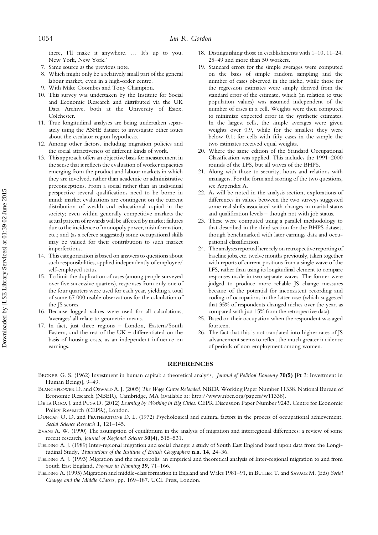there, I'll make it anywhere. … It's up to you, New York, New York.'

- 7. Same source as the previous note.
- Which might only be a relatively small part of the general labour market, even in a high-order centre.
- 9. With Mike Coombes and Tony Champion.
- 10. This survey was undertaken by the Institute for Social and Economic Research and distributed via the UK Data Archive, both at the University of Essex, Colchester.
- 11. True longitudinal analyses are being undertaken separately using the ASHE dataset to investigate other issues about the escalator region hypothesis.
- 12. Among other factors, including migration policies and the social attractiveness of different kinds of work.
- 13. This approach offers an objective basis for measurement in the sense that it reflects the evaluation of worker capacities emerging from the product and labour markets in which they are involved, rather than academic or administrative preconceptions. From a social rather than an individual perspective several qualifications need to be borne in mind: market evaluations are contingent on the current distribution of wealth and educational capital in the society; even within generally competitive markets the actual pattern of rewards will be affected by market failures due to the incidence of monopoly power, misinformation, etc.; and (as a referee suggested) some occupational skills may be valued for their contribution to such market imperfections.
- 14. This categorization is based on answers to questions about such responsibilities, applied independently of employee/ self-employed status.
- 15. To limit the duplication of cases (among people surveyed over five successive quarters), responses from only one of the four quarters were used for each year, yielding a total of some 67 000 usable observations for the calculation of the JS scores.
- 16. Because logged values were used for all calculations, 'averages' all relate to geometric means.
- 17. In fact, just three regions London, Eastern/South Eastern, and the rest of the UK – differentiated on the basis of housing costs, as an independent influence on earnings.
- 18. Distinguishing those in establishments with 1–10, 11–24, 25–49 and more than 50 workers.
- 19. Standard errors for the simple averages were computed on the basis of simple random sampling and the number of cases observed in the niche, while those for the regression estimates were simply derived from the standard error of the estimate, which (in relation to true population values) was assumed independent of the number of cases in a cell. Weights were then computed to minimize expected error in the synthetic estimates. In the largest cells, the simple averages were given weights over 0.9, while for the smallest they were below 0.1; for cells with fifty cases in the sample the two estimates received equal weights.
- 20. Where the same edition of the Standard Occupational Classification was applied. This includes the 1991–2000 rounds of the LFS, but all waves of the BHPS.
- 21. Along with those to security, hours and relations with managers. For the form and scoring of the two questions, see Appendix A.
- 22. As will be noted in the analysis section, explorations of differences in values between the two surveys suggested some real shifts associated with changes in marital status and qualification levels – though not with job status.
- 23. These were computed using a parallel methodology to that described in the third section for the BHPS dataset, though benchmarked with later earnings data and occupational classification.
- 24. The analyses reported here rely on retrospective reporting of baseline jobs, etc. twelve months previously, taken together with reports of current positions from a single wave of the LFS, rather than using its longitudinal element to compare responses made in two separate waves. The former were judged to produce more reliable JS change measures because of the potential for inconsistent recording and coding of occupations in the latter case (which suggested that 35% of respondents changed niches over the year, as compared with just 15% from the retrospective data).
- 25. Based on their occupation when the respondent was aged fourteen.
- 26. The fact that this is not translated into higher rates of JS advancement seems to reflect the much greater incidence of periods of non-employment among women.

#### **REFERENCES**

- BECKER G. S. (1962) Investment in human capital: a theoretical analysis, *Journal of Political Economy* 70(5) [Pt 2: Investment in Human Beings], 9–49.
- BLANCHFLOWER D. and OSWALD A. J. (2005) The Wage Curve Reloaded. NBER Working Paper Number 11338. National Bureau of Economic Research (NBER), Cambridge, MA (available at: [http://www.nber.org/papers/w11338\)](http://www.nber.org/papers/w11338).
- DE LA ROCA J. and PUGA D. (2012) Learning by Working in Big Cities. CEPR Discussion Paper Number 9243. Centre for Economic Policy Research (CEPR), London.
- DUNCAN O. D. and FEATHERSTONE D. L. (1972) Psychological and cultural factors in the process of occupational achievement, Social Science Research 1, 121–145.
- EVANS A. W. (1990) The assumption of equilibrium in the analysis of migration and interregional differences: a review of some recent research, Journal of Regional Science 30(4), 515-531.
- FIELDING A. J. (1989) Inter-regional migration and social change: a study of South East England based upon data from the Longitudinal Study, Transactions of the Institute of British Geographers n.s. 14, 24-36.
- FIELDING A. J. (1993) Migration and the metropolis: an empirical and theoretical analysis of Inter-regional migration to and from South East England, Progress in Planning 39, 71–166.
- FIELDING A. (1995) Migration and middle-class formation in England and Wales 1981–91, in BUTLER T. and SAVAGE M. (Eds) Social Change and the Middle Classes, pp. 169–187. UCL Press, London.